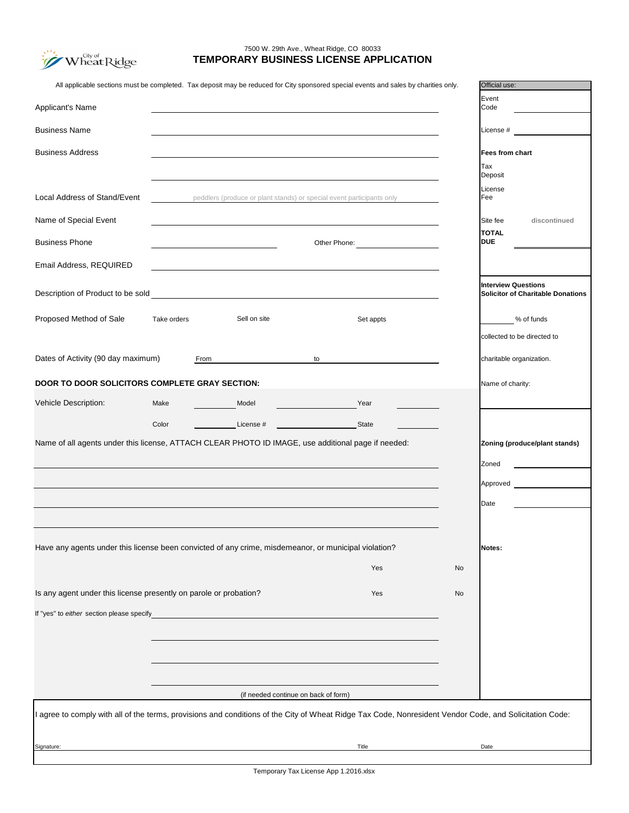Temporary Tax License App 1.2016.xlsx

| Have any agents under this license been convicted of any crime, misdemeanor, or municipal violation?                                                    |       | <b>Notes:</b> |  |  |  |
|---------------------------------------------------------------------------------------------------------------------------------------------------------|-------|---------------|--|--|--|
|                                                                                                                                                         | Yes   | <b>No</b>     |  |  |  |
| Is any agent under this license presently on parole or probation?                                                                                       | Yes   | <b>No</b>     |  |  |  |
| If "yes" to either section please specify                                                                                                               |       |               |  |  |  |
|                                                                                                                                                         |       |               |  |  |  |
|                                                                                                                                                         |       |               |  |  |  |
|                                                                                                                                                         |       |               |  |  |  |
| (if needed continue on back of form)                                                                                                                    |       |               |  |  |  |
| I agree to comply with all of the terms, provisions and conditions of the City of Wheat Ridge Tax Code, Nonresident Vendor Code, and Solicitation Code: |       |               |  |  |  |
| Signature:                                                                                                                                              | Title | Date          |  |  |  |
|                                                                                                                                                         |       |               |  |  |  |

|                                                       |             |              | All applicable sections must be completed. Tax deposit may be reduced for City sponsored special events and sales by charities only. | Official use:                            |
|-------------------------------------------------------|-------------|--------------|--------------------------------------------------------------------------------------------------------------------------------------|------------------------------------------|
|                                                       |             |              |                                                                                                                                      | Event                                    |
| <b>Applicant's Name</b>                               |             |              |                                                                                                                                      | Code                                     |
|                                                       |             |              |                                                                                                                                      |                                          |
| <b>Business Name</b>                                  |             |              |                                                                                                                                      | License #                                |
| <b>Business Address</b>                               |             |              |                                                                                                                                      | <b>Fees from chart</b>                   |
|                                                       |             |              |                                                                                                                                      | Tax                                      |
|                                                       |             |              |                                                                                                                                      | Deposit                                  |
|                                                       |             |              |                                                                                                                                      | License                                  |
| <b>Local Address of Stand/Event</b>                   |             |              | peddlers (produce or plant stands) or special event participants only                                                                | Fee                                      |
| Name of Special Event                                 |             |              |                                                                                                                                      | Site fee<br>discontinued                 |
|                                                       |             |              |                                                                                                                                      | <b>TOTAL</b>                             |
| <b>Business Phone</b>                                 |             |              | Other Phone:                                                                                                                         | <b>DUE</b>                               |
|                                                       |             |              |                                                                                                                                      |                                          |
| Email Address, REQUIRED                               |             |              |                                                                                                                                      |                                          |
|                                                       |             |              |                                                                                                                                      | <b>Interview Questions</b>               |
| Description of Product to be sold                     |             |              |                                                                                                                                      | <b>Solicitor of Charitable Donations</b> |
|                                                       |             |              |                                                                                                                                      |                                          |
| <b>Proposed Method of Sale</b>                        | Take orders | Sell on site | Set appts                                                                                                                            | % of funds                               |
|                                                       |             |              |                                                                                                                                      |                                          |
|                                                       |             |              |                                                                                                                                      | collected to be directed to              |
| Dates of Activity (90 day maximum)                    | From        |              | to                                                                                                                                   | charitable organization.                 |
|                                                       |             |              |                                                                                                                                      |                                          |
| <b>DOOR TO DOOR SOLICITORS COMPLETE GRAY SECTION:</b> |             |              |                                                                                                                                      | Name of charity:                         |
| <b>Vehicle Description:</b>                           | Make        | Model        | Year                                                                                                                                 |                                          |
|                                                       |             |              |                                                                                                                                      |                                          |
|                                                       | Color       | License #    | <b>State</b>                                                                                                                         |                                          |
|                                                       |             |              | Name of all agents under this license, ATTACH CLEAR PHOTO ID IMAGE, use additional page if needed:                                   | <b>Zoning (produce/plant stands)</b>     |
|                                                       |             |              |                                                                                                                                      | Zoned                                    |
|                                                       |             |              |                                                                                                                                      |                                          |
|                                                       |             |              |                                                                                                                                      | Approved                                 |
|                                                       |             |              |                                                                                                                                      | Date                                     |



## **TEMPORARY BUSINESS LICENSE APPLICATION** 7500 W. 29th Ave., Wheat Ridge, CO 80033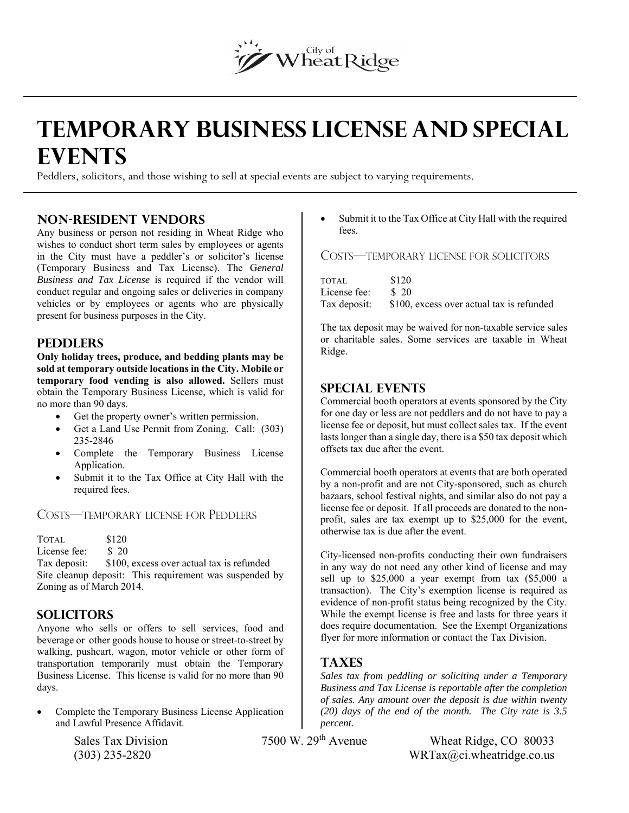# Wheat Ridge

## **TEMPORARY BUSINESS LICENSE AND SPECIAL EVENTS**

Peddlers, solicitors, and those wishing to sell at special events are subject to varying requirements.

#### **Non-Resident Vendors**

Any business or person not residing in Wheat Ridge who wishes to conduct short term sales by employees or agents in the City must have a peddler's or solicitor's license (Temporary Business and Tax License). The G*eneral Business and Tax License* is required if the vendor will conduct regular and ongoing sales or deliveries in company vehicles or by employees or agents who are physically present for business purposes in the City.

#### **Peddlers**

**Only holiday trees, produce, and bedding plants may be sold at temporary outside locations in the City. Mobile or temporary food vending is also allowed.** Sellers must obtain the Temporary Business License, which is valid for no more than 90 days.

- Get the property owner's written permission.
- Get a Land Use Permit from Zoning. Call: (303) 235-2846
- Complete the Temporary Business License Application.
- Submit it to the Tax Office at City Hall with the required fees.

#### COSTS—TEMPORARY LICENSE FOR PEDDLERS

TOTAL \$120 License fee: \$20 Tax deposit: \$100, excess over actual tax is refunded Site cleanup deposit: This requirement was suspended by Zoning as of March 2014.

#### **Solicitors**

Anyone who sells or offers to sell services, food and beverage or other goods house to house or street-to-street by walking, pushcart, wagon, motor vehicle or other form of transportation temporarily must obtain the Temporary Business License. This license is valid for no more than 90 days.

 Complete the Temporary Business License Application and Lawful Presence Affidavit.

 Submit it to the Tax Office at City Hall with the required fees.

#### COSTS—TEMPORARY LICENSE FOR SOLICITORS

| TOTAL.            | \$120                                                  |
|-------------------|--------------------------------------------------------|
| License fee: \$20 |                                                        |
|                   | Tax deposit: \$100, excess over actual tax is refunded |

The tax deposit may be waived for non-taxable service sales or charitable sales. Some services are taxable in Wheat Ridge.

#### **SPECIAL EVENTS**

Commercial booth operators at events sponsored by the City for one day or less are not peddlers and do not have to pay a license fee or deposit, but must collect sales tax. If the event lasts longer than a single day, there is a \$50 tax deposit which offsets tax due after the event.

Commercial booth operators at events that are both operated by a non-profit and are not City-sponsored, such as church bazaars, school festival nights, and similar also do not pay a license fee or deposit. If all proceeds are donated to the nonprofit, sales are tax exempt up to \$25,000 for the event, otherwise tax is due after the event.

City-licensed non-profits conducting their own fundraisers in any way do not need any other kind of license and may sell up to \$25,000 a year exempt from tax (\$5,000 a transaction). The City's exemption license is required as evidence of non-profit status being recognized by the City. While the exempt license is free and lasts for three years it does require documentation. See the Exempt Organizations flyer for more information or contact the Tax Division.

#### **TaxeS**

*Sales tax from peddling or soliciting under a Temporary Business and Tax License is reportable after the completion of sales. Any amount over the deposit is due within twenty (20) days of the end of the month. The City rate is 3.5 percent.*

Sales Tax Division 7500 W. 29<sup>th</sup> Avenue Wheat Ridge, CO 80033

 $\text{WRTa}(Q)$  235-2820 WRTax $(Qc)$ . wheatridge.co.us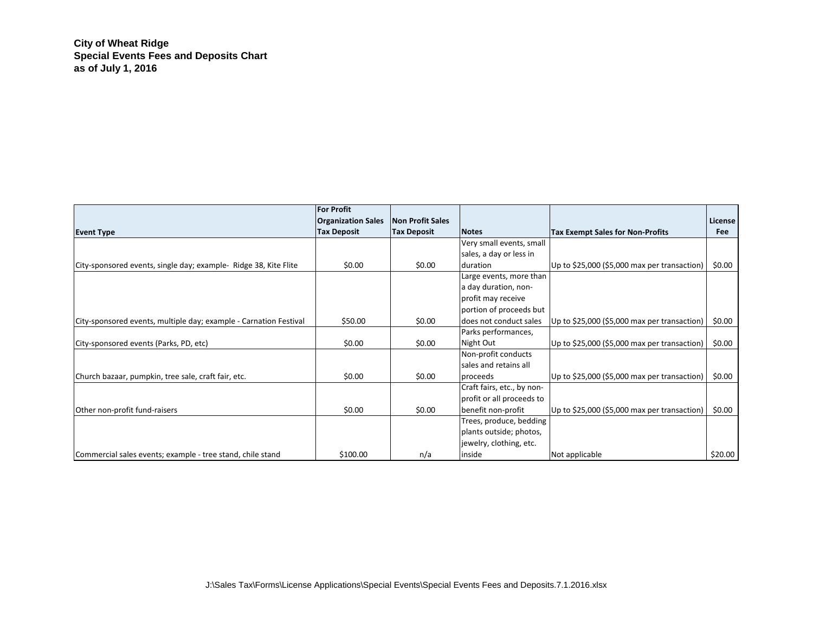**City of Wheat Ridge Special Events Fees and Deposits Chart as of July 1, 2016**

|                                                                   | <b>For Profit</b>         |                         |                            |                                              |                |
|-------------------------------------------------------------------|---------------------------|-------------------------|----------------------------|----------------------------------------------|----------------|
|                                                                   | <b>Organization Sales</b> | <b>Non Profit Sales</b> |                            |                                              | <b>License</b> |
| <b>Event Type</b>                                                 | <b>Tax Deposit</b>        | <b>Tax Deposit</b>      | <b>Notes</b>               | <b>Tax Exempt Sales for Non-Profits</b>      | Fee            |
|                                                                   |                           |                         | Very small events, small   |                                              |                |
|                                                                   |                           |                         | sales, a day or less in    |                                              |                |
| City-sponsored events, single day; example- Ridge 38, Kite Flite  | \$0.00                    | \$0.00                  | duration                   | Up to \$25,000 (\$5,000 max per transaction) | \$0.00         |
|                                                                   |                           |                         | Large events, more than    |                                              |                |
|                                                                   |                           |                         | a day duration, non-       |                                              |                |
|                                                                   |                           |                         | profit may receive         |                                              |                |
|                                                                   |                           |                         | portion of proceeds but    |                                              |                |
| City-sponsored events, multiple day; example - Carnation Festival | \$50.00                   | \$0.00                  | does not conduct sales     | Up to \$25,000 (\$5,000 max per transaction) | \$0.00         |
|                                                                   |                           |                         | Parks performances,        |                                              |                |
| City-sponsored events (Parks, PD, etc)                            | \$0.00                    | \$0.00                  | Night Out                  | Up to \$25,000 (\$5,000 max per transaction) | \$0.00         |
|                                                                   |                           |                         | Non-profit conducts        |                                              |                |
|                                                                   |                           |                         | sales and retains all      |                                              |                |
| Church bazaar, pumpkin, tree sale, craft fair, etc.               | \$0.00                    | \$0.00                  | proceeds                   | Up to \$25,000 (\$5,000 max per transaction) | \$0.00         |
|                                                                   |                           |                         | Craft fairs, etc., by non- |                                              |                |
|                                                                   |                           |                         | profit or all proceeds to  |                                              |                |
| Other non-profit fund-raisers                                     | \$0.00                    | \$0.00                  | benefit non-profit         | Up to \$25,000 (\$5,000 max per transaction) | \$0.00         |
|                                                                   |                           |                         | Trees, produce, bedding    |                                              |                |
|                                                                   |                           |                         | plants outside; photos,    |                                              |                |
|                                                                   |                           |                         | jewelry, clothing, etc.    |                                              |                |
| Commercial sales events; example - tree stand, chile stand        | \$100.00                  | n/a                     | inside                     | Not applicable                               | \$20.00        |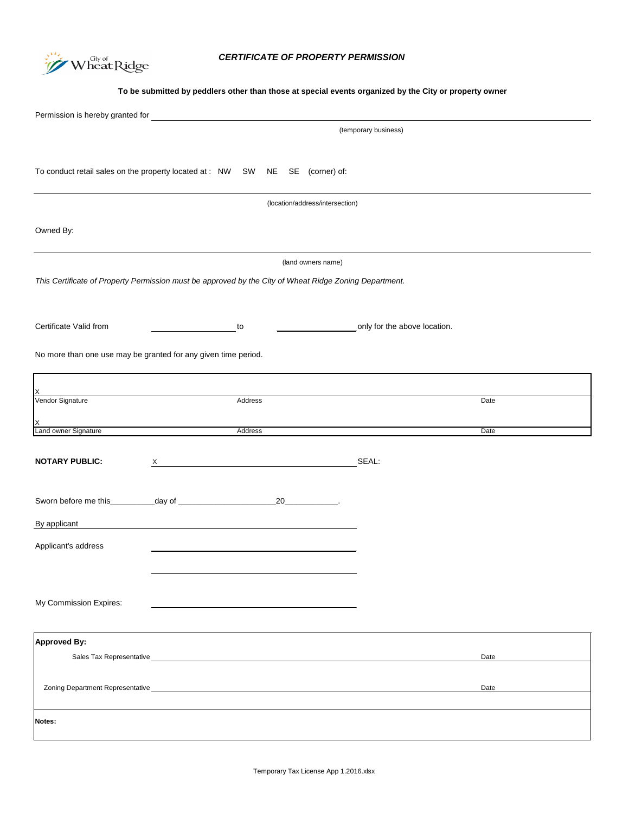Temporary Tax License App 1.2016.xlsx

Permission is hereby granted for To conduct retail sales on the property located at : NW SW NE SE (corner) of: Owned By: *This Certificate of Property Permission must be approved by the City of Wheat Ridge Zoning Department.* Certificate Valid from **the above location** to **only for the above location**. No more than one use may be granted for any given time period. Vendor Signature Address Date Land owner Signature Date Date Address Date (temporary business) (location/address/intersection) (land owners name)  $\times$ X

**NOTARY PUBLIC:** X X SEAL:

| Sworn before me this |  |  |
|----------------------|--|--|
|----------------------|--|--|

| By applicant                                                                                                                                                                                                                           |      |
|----------------------------------------------------------------------------------------------------------------------------------------------------------------------------------------------------------------------------------------|------|
| Applicant's address                                                                                                                                                                                                                    |      |
| My Commission Expires:                                                                                                                                                                                                                 |      |
| <b>Approved By:</b>                                                                                                                                                                                                                    |      |
| Sales Tax Representative Manual Account of the Capital Account of the Capital Account of the Capital Account of the Capital Account of the Capital Account of the Capital Account of the Capital Account of the Capital Accoun         | Date |
| Zoning Department Representative<br><u>Letter and the contract of the contract of the contract of the contract of the contract of the contract of the contract of the contract of the contract of the contract of the contract of </u> | Date |
| Notes:                                                                                                                                                                                                                                 |      |



## *CERTIFICATE OF PROPERTY PERMISSION*

**To be submitted by peddlers other than those at special events organized by the City or property owner**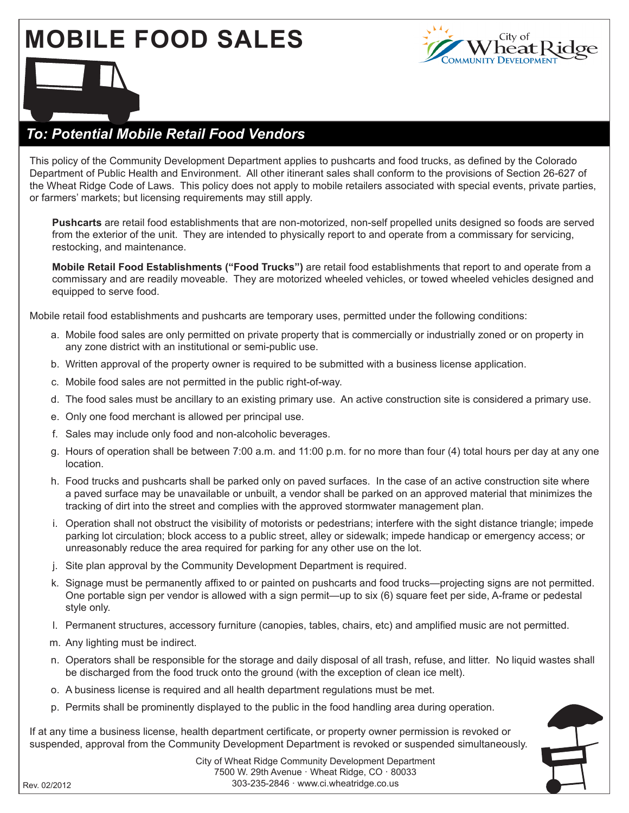## **MOBILE FOOD SALES**



## *To: Potential Mobile Retail Food Vendors*

This policy of the Community Development Department applies to pushcarts and food trucks, as defined by the Colorado Department of Public Health and Environment. All other itinerant sales shall conform to the provisions of Section 26-627 of the Wheat Ridge Code of Laws. This policy does not apply to mobile retailers associated with special events, private parties, or farmers' markets; but licensing requirements may still apply.

**Pushcarts** are retail food establishments that are non-motorized, non-self propelled units designed so foods are served from the exterior of the unit. They are intended to physically report to and operate from a commissary for servicing, restocking, and maintenance.

**Mobile Retail Food Establishments ("Food Trucks")** are retail food establishments that report to and operate from a commissary and are readily moveable. They are motorized wheeled vehicles, or towed wheeled vehicles designed and equipped to serve food.

Mobile retail food establishments and pushcarts are temporary uses, permitted under the following conditions:

- a. Mobile food sales are only permitted on private property that is commercially or industrially zoned or on property in any zone district with an institutional or semi-public use.
- b. Written approval of the property owner is required to be submitted with a business license application.
- c. Mobile food sales are not permitted in the public right-of-way.
- d. The food sales must be ancillary to an existing primary use. An active construction site is considered a primary use.
- e. Only one food merchant is allowed per principal use.
- f. Sales may include only food and non-alcoholic beverages.
- g. Hours of operation shall be between 7:00 a.m. and 11:00 p.m. for no more than four (4) total hours per day at any one location.
- h. Food trucks and pushcarts shall be parked only on paved surfaces. In the case of an active construction site where a paved surface may be unavailable or unbuilt, a vendor shall be parked on an approved material that minimizes the tracking of dirt into the street and complies with the approved stormwater management plan.
- i. Operation shall not obstruct the visibility of motorists or pedestrians; interfere with the sight distance triangle; impede parking lot circulation; block access to a public street, alley or sidewalk; impede handicap or emergency access; or unreasonably reduce the area required for parking for any other use on the lot.
- j. Site plan approval by the Community Development Department is required.
- k. Signage must be permanently affixed to or painted on pushcarts and food trucks—projecting signs are not permitted. One portable sign per vendor is allowed with a sign permit—up to six (6) square feet per side, A-frame or pedestal style only.
- l. Permanent structures, accessory furniture (canopies, tables, chairs, etc) and amplified music are not permitted.
- m. Any lighting must be indirect.
- n. Operators shall be responsible for the storage and daily disposal of all trash, refuse, and litter. No liquid wastes shall be discharged from the food truck onto the ground (with the exception of clean ice melt).
- o. A business license is required and all health department regulations must be met.
- p. Permits shall be prominently displayed to the public in the food handling area during operation.

If at any time a business license, health department certificate, or property owner permission is revoked or suspended, approval from the Community Development Department is revoked or suspended simultaneously.



City of Wheat Ridge Community Development Department 7500 W. 29th Avenue · Wheat Ridge, CO · 80033 303-235-2846 · www.ci.wheatridge.co.us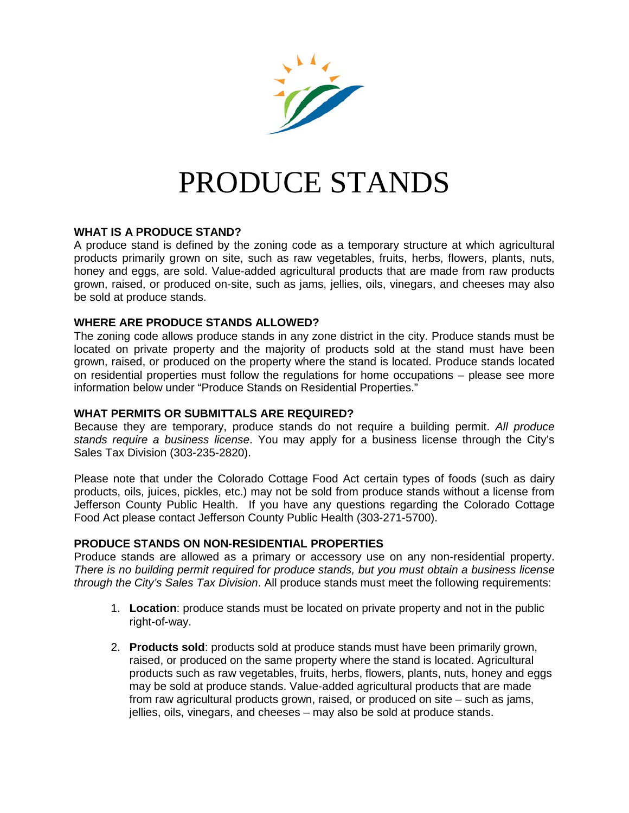

# PRODUCE STANDS

#### **WHAT IS A PRODUCE STAND?**

A produce stand is defined by the zoning code as a temporary structure at which agricultural products primarily grown on site, such as raw vegetables, fruits, herbs, flowers, plants, nuts, honey and eggs, are sold. Value-added agricultural products that are made from raw products grown, raised, or produced on-site, such as jams, jellies, oils, vinegars, and cheeses may also be sold at produce stands.

#### **WHERE ARE PRODUCE STANDS ALLOWED?**

The zoning code allows produce stands in any zone district in the city. Produce stands must be located on private property and the majority of products sold at the stand must have been grown, raised, or produced on the property where the stand is located. Produce stands located on residential properties must follow the regulations for home occupations – please see more information below under "Produce Stands on Residential Properties."

#### **WHAT PERMITS OR SUBMITTALS ARE REQUIRED?**

Because they are temporary, produce stands do not require a building permit. *All produce stands require a business license*. You may apply for a business license through the City's Sales Tax Division (303-235-2820).

Please note that under the Colorado Cottage Food Act certain types of foods (such as dairy products, oils, juices, pickles, etc.) may not be sold from produce stands without a license from Jefferson County Public Health. If you have any questions regarding the Colorado Cottage Food Act please contact Jefferson County Public Health (303-271-5700).

#### **PRODUCE STANDS ON NON-RESIDENTIAL PROPERTIES**

Produce stands are allowed as a primary or accessory use on any non-residential property. *There is no building permit required for produce stands, but you must obtain a business license through the City's Sales Tax Division*. All produce stands must meet the following requirements:

- 1. **Location**: produce stands must be located on private property and not in the public right-of-way.
- 2. **Products sold**: products sold at produce stands must have been primarily grown, raised, or produced on the same property where the stand is located. Agricultural products such as raw vegetables, fruits, herbs, flowers, plants, nuts, honey and eggs may be sold at produce stands. Value-added agricultural products that are made from raw agricultural products grown, raised, or produced on site – such as jams, jellies, oils, vinegars, and cheeses – may also be sold at produce stands.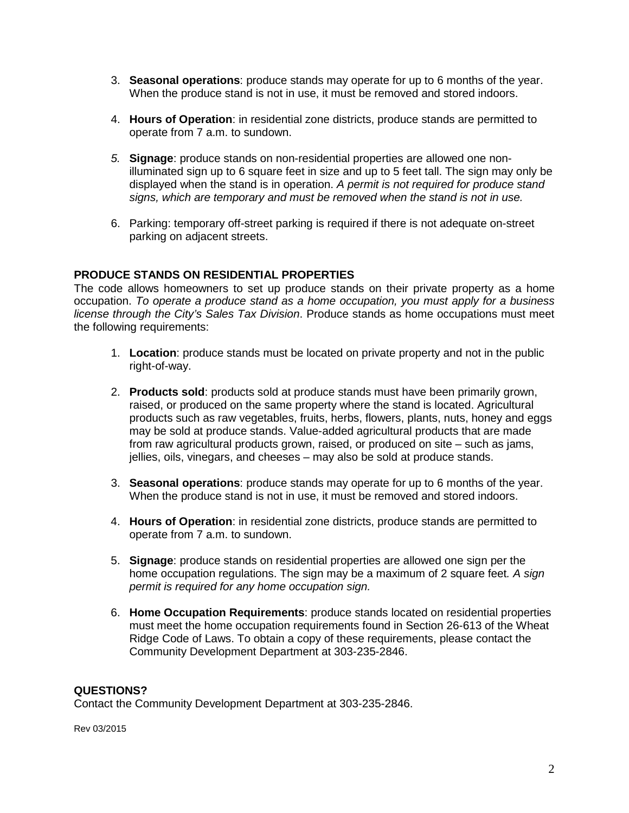- 3. **Seasonal operations**: produce stands may operate for up to 6 months of the year. When the produce stand is not in use, it must be removed and stored indoors.
- 4. **Hours of Operation**: in residential zone districts, produce stands are permitted to operate from 7 a.m. to sundown.
- *5.* **Signage**: produce stands on non-residential properties are allowed one nonilluminated sign up to 6 square feet in size and up to 5 feet tall. The sign may only be displayed when the stand is in operation. *A permit is not required for produce stand signs, which are temporary and must be removed when the stand is not in use.*
- 6. Parking: temporary off-street parking is required if there is not adequate on-street parking on adjacent streets.

#### **PRODUCE STANDS ON RESIDENTIAL PROPERTIES**

The code allows homeowners to set up produce stands on their private property as a home occupation. *To operate a produce stand as a home occupation, you must apply for a business license through the City's Sales Tax Division*. Produce stands as home occupations must meet the following requirements:

- 1. **Location**: produce stands must be located on private property and not in the public right-of-way.
- 2. **Products sold**: products sold at produce stands must have been primarily grown, raised, or produced on the same property where the stand is located. Agricultural products such as raw vegetables, fruits, herbs, flowers, plants, nuts, honey and eggs may be sold at produce stands. Value-added agricultural products that are made from raw agricultural products grown, raised, or produced on site – such as jams, jellies, oils, vinegars, and cheeses – may also be sold at produce stands.
- 3. **Seasonal operations**: produce stands may operate for up to 6 months of the year. When the produce stand is not in use, it must be removed and stored indoors.
- 4. **Hours of Operation**: in residential zone districts, produce stands are permitted to operate from 7 a.m. to sundown.
- 5. **Signage**: produce stands on residential properties are allowed one sign per the home occupation regulations. The sign may be a maximum of 2 square feet*. A sign permit is required for any home occupation sign.*
- 6. **Home Occupation Requirements**: produce stands located on residential properties must meet the home occupation requirements found in Section 26-613 of the Wheat Ridge Code of Laws. To obtain a copy of these requirements, please contact the Community Development Department at 303-235-2846.

#### **QUESTIONS?**

Contact the Community Development Department at 303-235-2846.

Rev 03/2015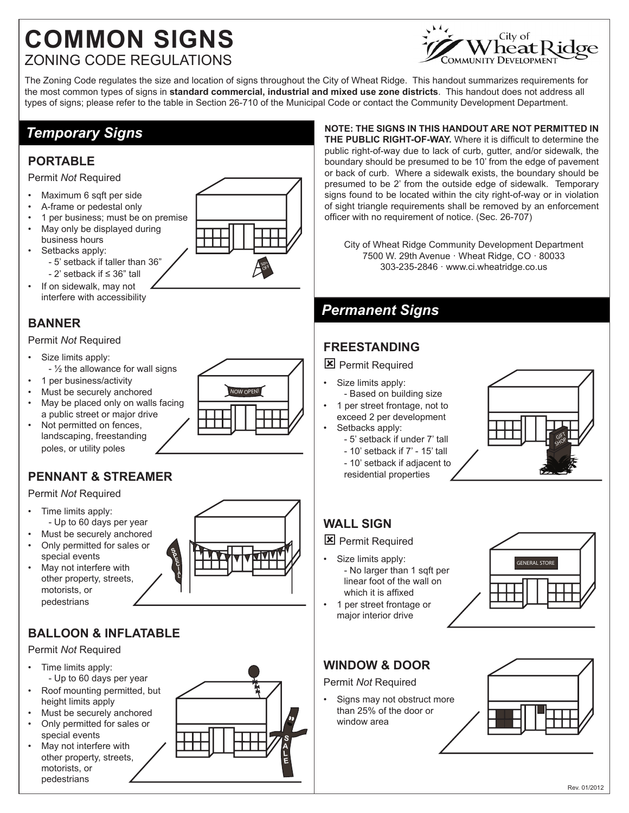## **COMMON SIGNS** ZONING CODE REGULATIONS



The Zoning Code regulates the size and location of signs throughout the City of Wheat Ridge. This handout summarizes requirements for the most common types of signs in **standard commercial, industrial and mixed use zone districts**. This handout does not address all types of signs; please refer to the table in Section 26-710 of the Municipal Code or contact the Community Development Department.

## *Temporary Signs*

#### **PORTABLE**

#### Permit *Not* Required

- Maximum 6 sqft per side
- A-frame or pedestal only
- 1 per business; must be on premise
- May only be displayed during
- business hours Setbacks apply: - 5' setback if taller than 36"
	- 2' setback if ≤ 36" tall
- If on sidewalk, may not interfere with accessibility

### **BANNER**

#### Permit *Not* Required

- Size limits apply:
- ½ the allowance for wall signs
- 1 per business/activity
- Must be securely anchored
- May be placed only on walls facing a public street or major drive
- Not permitted on fences, landscaping, freestanding poles, or utility poles

## **PENNANT & STREAMER**

#### Permit *Not* Required

- Time limits apply: - Up to 60 days per year
- Must be securely anchored
- Only permitted for sales or special events

**SPEC A L**

May not interfere with other property, streets, motorists, or pedestrians

## **BALLOON & INFLATABLE**

Permit *Not* Required

- Time limits apply: - Up to 60 days per year
- Roof mounting permitted, but height limits apply
- Must be securely anchored
- Only permitted for sales or special events
- May not interfere with other property, streets, motorists, or pedestrians



**NOTE: THE SIGNS IN THIS HANDOUT ARE NOT PERMITTED IN THE PUBLIC RIGHT-OF-WAY.** Where it is difficult to determine the public right-of-way due to lack of curb, gutter, and/or sidewalk, the boundary should be presumed to be 10' from the edge of pavement or back of curb. Where a sidewalk exists, the boundary should be presumed to be 2' from the outside edge of sidewalk. Temporary signs found to be located within the city right-of-way or in violation of sight triangle requirements shall be removed by an enforcement officer with no requirement of notice. (Sec. 26-707)

City of Wheat Ridge Community Development Department 7500 W. 29th Avenue · Wheat Ridge, CO · 80033 303-235-2846 · www.ci.wheatridge.co.us

## *Permanent Signs*

### **FREESTANDING**

#### 区 Permit Required

- Size limits apply:
	- Based on building size
	- 1 per street frontage, not to exceed 2 per development Setbacks apply:
	- 5' setback if under 7' tall
		- 10' setback if 7' 15' tall
		- 10' setback if adjacent to
		- residential properties



## **WALL SIGN**

#### **X** Permit Required

- Size limits apply: - No larger than 1 sqft per linear foot of the wall on which it is affixed
- 1 per street frontage or major interior drive



## **WINDOW & DOOR**

Permit *Not* Required

• Signs may not obstruct more than 25% of the door or window area







OFF <sup>5</sup>0%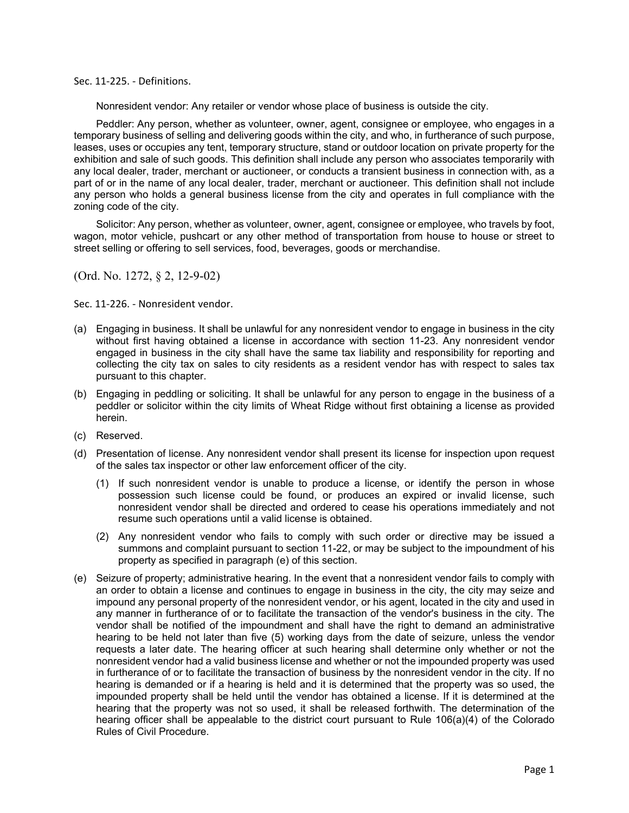Sec. 11‐225. ‐ Definitions.

Nonresident vendor: Any retailer or vendor whose place of business is outside the city.

Peddler: Any person, whether as volunteer, owner, agent, consignee or employee, who engages in a temporary business of selling and delivering goods within the city, and who, in furtherance of such purpose, leases, uses or occupies any tent, temporary structure, stand or outdoor location on private property for the exhibition and sale of such goods. This definition shall include any person who associates temporarily with any local dealer, trader, merchant or auctioneer, or conducts a transient business in connection with, as a part of or in the name of any local dealer, trader, merchant or auctioneer. This definition shall not include any person who holds a general business license from the city and operates in full compliance with the zoning code of the city.

Solicitor: Any person, whether as volunteer, owner, agent, consignee or employee, who travels by foot, wagon, motor vehicle, pushcart or any other method of transportation from house to house or street to street selling or offering to sell services, food, beverages, goods or merchandise.

(Ord. No. 1272, § 2, 12-9-02)

Sec. 11‐226. ‐ Nonresident vendor.

- (a) Engaging in business. It shall be unlawful for any nonresident vendor to engage in business in the city without first having obtained a license in accordance with section 11-23. Any nonresident vendor engaged in business in the city shall have the same tax liability and responsibility for reporting and collecting the city tax on sales to city residents as a resident vendor has with respect to sales tax pursuant to this chapter.
- (b) Engaging in peddling or soliciting. It shall be unlawful for any person to engage in the business of a peddler or solicitor within the city limits of Wheat Ridge without first obtaining a license as provided herein.
- (c) Reserved.
- (d) Presentation of license. Any nonresident vendor shall present its license for inspection upon request of the sales tax inspector or other law enforcement officer of the city.
	- (1) If such nonresident vendor is unable to produce a license, or identify the person in whose possession such license could be found, or produces an expired or invalid license, such nonresident vendor shall be directed and ordered to cease his operations immediately and not resume such operations until a valid license is obtained.
	- (2) Any nonresident vendor who fails to comply with such order or directive may be issued a summons and complaint pursuant to section 11-22, or may be subject to the impoundment of his property as specified in paragraph (e) of this section.
- (e) Seizure of property; administrative hearing. In the event that a nonresident vendor fails to comply with an order to obtain a license and continues to engage in business in the city, the city may seize and impound any personal property of the nonresident vendor, or his agent, located in the city and used in any manner in furtherance of or to facilitate the transaction of the vendor's business in the city. The vendor shall be notified of the impoundment and shall have the right to demand an administrative hearing to be held not later than five (5) working days from the date of seizure, unless the vendor requests a later date. The hearing officer at such hearing shall determine only whether or not the nonresident vendor had a valid business license and whether or not the impounded property was used in furtherance of or to facilitate the transaction of business by the nonresident vendor in the city. If no hearing is demanded or if a hearing is held and it is determined that the property was so used, the impounded property shall be held until the vendor has obtained a license. If it is determined at the hearing that the property was not so used, it shall be released forthwith. The determination of the hearing officer shall be appealable to the district court pursuant to Rule 106(a)(4) of the Colorado Rules of Civil Procedure.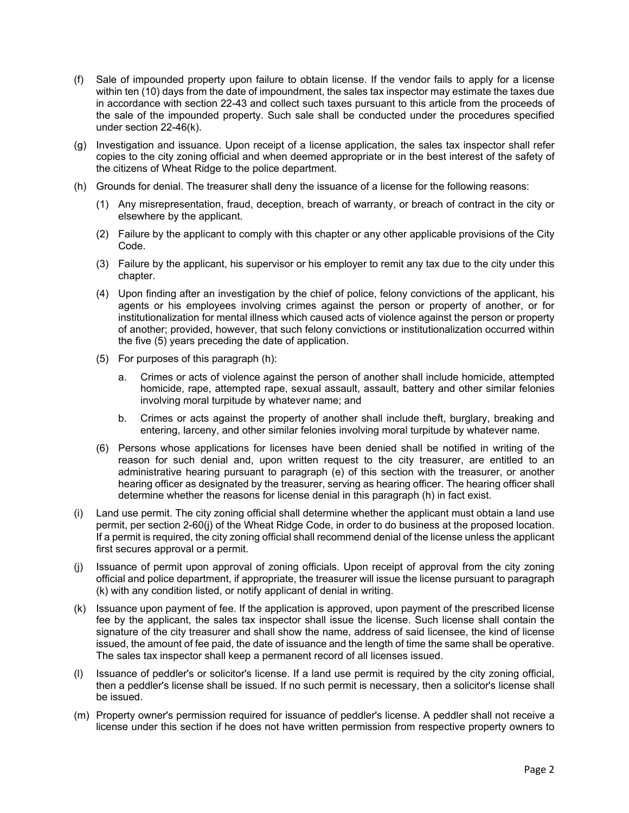- (f) Sale of impounded property upon failure to obtain license. If the vendor fails to apply for a license within ten (10) days from the date of impoundment, the sales tax inspector may estimate the taxes due in accordance with section 22-43 and collect such taxes pursuant to this article from the proceeds of the sale of the impounded property. Such sale shall be conducted under the procedures specified under section 22-46(k).
- (g) Investigation and issuance. Upon receipt of a license application, the sales tax inspector shall refer copies to the city zoning official and when deemed appropriate or in the best interest of the safety of the citizens of Wheat Ridge to the police department.
- (h) Grounds for denial. The treasurer shall deny the issuance of a license for the following reasons:
	- (1) Any misrepresentation, fraud, deception, breach of warranty, or breach of contract in the city or elsewhere by the applicant.
	- (2) Failure by the applicant to comply with this chapter or any other applicable provisions of the City Code.
	- (3) Failure by the applicant, his supervisor or his employer to remit any tax due to the city under this chapter.
	- (4) Upon finding after an investigation by the chief of police, felony convictions of the applicant, his agents or his employees involving crimes against the person or property of another, or for institutionalization for mental illness which caused acts of violence against the person or property of another; provided, however, that such felony convictions or institutionalization occurred within the five (5) years preceding the date of application.
	- (5) For purposes of this paragraph (h):
		- a. Crimes or acts of violence against the person of another shall include homicide, attempted homicide, rape, attempted rape, sexual assault, assault, battery and other similar felonies involving moral turpitude by whatever name; and
		- b. Crimes or acts against the property of another shall include theft, burglary, breaking and entering, larceny, and other similar felonies involving moral turpitude by whatever name.
	- (6) Persons whose applications for licenses have been denied shall be notified in writing of the reason for such denial and, upon written request to the city treasurer, are entitled to an administrative hearing pursuant to paragraph (e) of this section with the treasurer, or another hearing officer as designated by the treasurer, serving as hearing officer. The hearing officer shall determine whether the reasons for license denial in this paragraph (h) in fact exist.
- (i) Land use permit. The city zoning official shall determine whether the applicant must obtain a land use permit, per section 2-60(j) of the Wheat Ridge Code, in order to do business at the proposed location. If a permit is required, the city zoning official shall recommend denial of the license unless the applicant first secures approval or a permit.
- (j) Issuance of permit upon approval of zoning officials. Upon receipt of approval from the city zoning official and police department, if appropriate, the treasurer will issue the license pursuant to paragraph (k) with any condition listed, or notify applicant of denial in writing.
- (k) Issuance upon payment of fee. If the application is approved, upon payment of the prescribed license fee by the applicant, the sales tax inspector shall issue the license. Such license shall contain the signature of the city treasurer and shall show the name, address of said licensee, the kind of license issued, the amount of fee paid, the date of issuance and the length of time the same shall be operative. The sales tax inspector shall keep a permanent record of all licenses issued.
- (l) Issuance of peddler's or solicitor's license. If a land use permit is required by the city zoning official, then a peddler's license shall be issued. If no such permit is necessary, then a solicitor's license shall be issued.
- (m) Property owner's permission required for issuance of peddler's license. A peddler shall not receive a license under this section if he does not have written permission from respective property owners to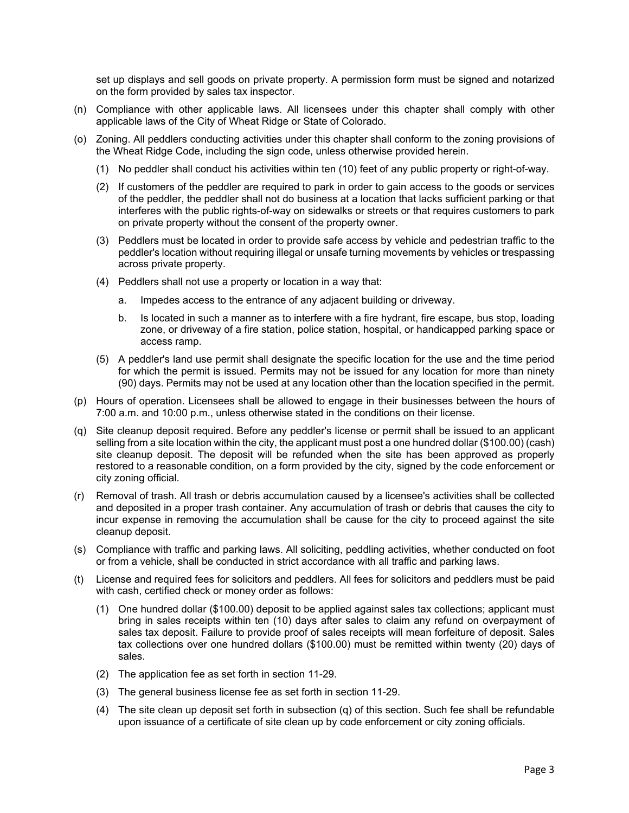set up displays and sell goods on private property. A permission form must be signed and notarized on the form provided by sales tax inspector.

- (n) Compliance with other applicable laws. All licensees under this chapter shall comply with other applicable laws of the City of Wheat Ridge or State of Colorado.
- (o) Zoning. All peddlers conducting activities under this chapter shall conform to the zoning provisions of the Wheat Ridge Code, including the sign code, unless otherwise provided herein.
	- (1) No peddler shall conduct his activities within ten (10) feet of any public property or right-of-way.
	- (2) If customers of the peddler are required to park in order to gain access to the goods or services of the peddler, the peddler shall not do business at a location that lacks sufficient parking or that interferes with the public rights-of-way on sidewalks or streets or that requires customers to park on private property without the consent of the property owner.
	- (3) Peddlers must be located in order to provide safe access by vehicle and pedestrian traffic to the peddler's location without requiring illegal or unsafe turning movements by vehicles or trespassing across private property.
	- (4) Peddlers shall not use a property or location in a way that:
		- a. Impedes access to the entrance of any adjacent building or driveway.
		- b. Is located in such a manner as to interfere with a fire hydrant, fire escape, bus stop, loading zone, or driveway of a fire station, police station, hospital, or handicapped parking space or access ramp.
	- (5) A peddler's land use permit shall designate the specific location for the use and the time period for which the permit is issued. Permits may not be issued for any location for more than ninety (90) days. Permits may not be used at any location other than the location specified in the permit.
- (p) Hours of operation. Licensees shall be allowed to engage in their businesses between the hours of 7:00 a.m. and 10:00 p.m., unless otherwise stated in the conditions on their license.
- (q) Site cleanup deposit required. Before any peddler's license or permit shall be issued to an applicant selling from a site location within the city, the applicant must post a one hundred dollar (\$100.00) (cash) site cleanup deposit. The deposit will be refunded when the site has been approved as properly restored to a reasonable condition, on a form provided by the city, signed by the code enforcement or city zoning official.
- (r) Removal of trash. All trash or debris accumulation caused by a licensee's activities shall be collected and deposited in a proper trash container. Any accumulation of trash or debris that causes the city to incur expense in removing the accumulation shall be cause for the city to proceed against the site cleanup deposit.
- (s) Compliance with traffic and parking laws. All soliciting, peddling activities, whether conducted on foot or from a vehicle, shall be conducted in strict accordance with all traffic and parking laws.
- (t) License and required fees for solicitors and peddlers. All fees for solicitors and peddlers must be paid with cash, certified check or money order as follows:
	- (1) One hundred dollar (\$100.00) deposit to be applied against sales tax collections; applicant must bring in sales receipts within ten (10) days after sales to claim any refund on overpayment of sales tax deposit. Failure to provide proof of sales receipts will mean forfeiture of deposit. Sales tax collections over one hundred dollars (\$100.00) must be remitted within twenty (20) days of sales.
	- (2) The application fee as set forth in section 11-29.
	- (3) The general business license fee as set forth in section 11-29.
	- (4) The site clean up deposit set forth in subsection (q) of this section. Such fee shall be refundable upon issuance of a certificate of site clean up by code enforcement or city zoning officials.